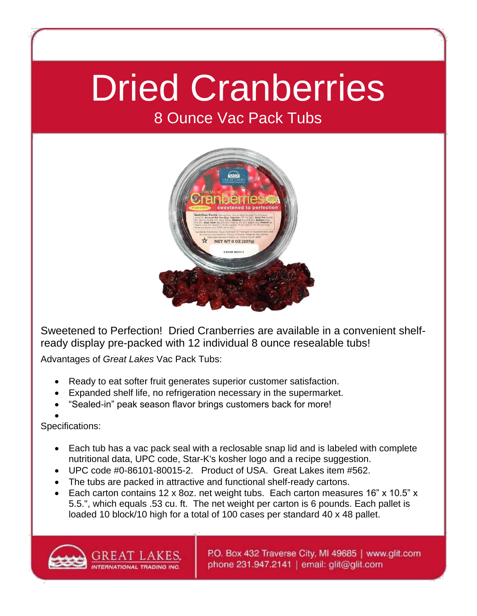## Dried Cranberries

## 8 Ounce Vac Pack Tubs



Sweetened to Perfection! Dried Cranberries are available in a convenient shelfready display pre-packed with 12 individual 8 ounce resealable tubs!

Advantages of *Great Lakes* Vac Pack Tubs:

- Ready to eat softer fruit generates superior customer satisfaction.
- Expanded shelf life, no refrigeration necessary in the supermarket.
- "Sealed-in" peak season flavor brings customers back for more!
- $\bullet$

Specifications:

- Each tub has a vac pack seal with a reclosable snap lid and is labeled with complete nutritional data, UPC code, Star-K's kosher logo and a recipe suggestion.
- UPC code #0-86101-80015-2. Product of USA. Great Lakes item #562.
- The tubs are packed in attractive and functional shelf-ready cartons.
- Each carton contains 12 x 8oz. net weight tubs. Each carton measures 16" x 10.5" x 5.5.", which equals .53 cu. ft. The net weight per carton is 6 pounds. Each pallet is loaded 10 block/10 high for a total of 100 cases per standard 40 x 48 pallet.



P.O. Box 432 Traverse City, MI 49685 | www.glit.com phone 231.947.2141 | email: glit@glit.com